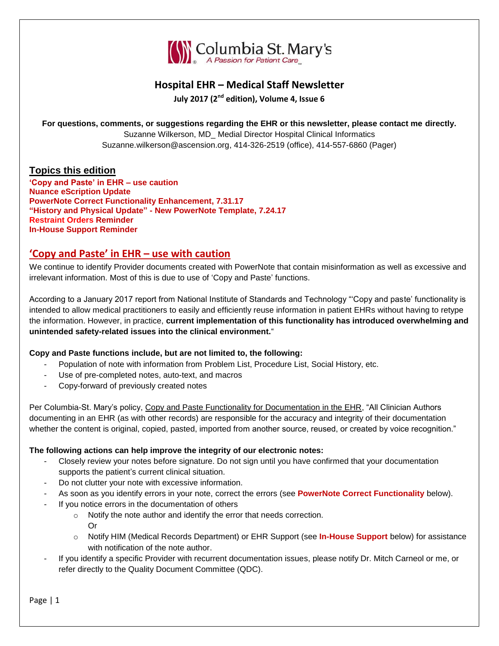

### **Hospital EHR – Medical Staff Newsletter**

**July 2017 (2nd edition), Volume 4, Issue 6**

**For questions, comments, or suggestions regarding the EHR or this newsletter, please contact me directly.**

Suzanne Wilkerson, MD\_ Medial Director Hospital Clinical Informatics Suzanne.wilkerson@ascension.org, 414-326-2519 (office), 414-557-6860 (Pager)

### **Topics this edition**

**'Copy and Paste' in EHR – use caution Nuance eScription Update PowerNote Correct Functionality Enhancement, 7.31.17 "History and Physical Update" - New PowerNote Template, 7.24.17 Restraint Orders Reminder In-House Support Reminder**

### **'Copy and Paste' in EHR – use with caution**

We continue to identify Provider documents created with PowerNote that contain misinformation as well as excessive and irrelevant information. Most of this is due to use of 'Copy and Paste' functions.

According to a January 2017 report from National Institute of Standards and Technology "'Copy and paste' functionality is intended to allow medical practitioners to easily and efficiently reuse information in patient EHRs without having to retype the information. However, in practice, **current implementation of this functionality has introduced overwhelming and unintended safety-related issues into the clinical environment.**"

### **Copy and Paste functions include, but are not limited to, the following:**

- Population of note with information from Problem List, Procedure List, Social History, etc.
- Use of pre-completed notes, auto-text, and macros
- Copy-forward of previously created notes

Per Columbia-St. Mary's policy, Copy and Paste Functionality for Documentation in the EHR, "All Clinician Authors documenting in an EHR (as with other records) are responsible for the accuracy and integrity of their documentation whether the content is original, copied, pasted, imported from another source, reused, or created by voice recognition."

### **The following actions can help improve the integrity of our electronic notes:**

- Closely review your notes before signature. Do not sign until you have confirmed that your documentation supports the patient's current clinical situation.
- Do not clutter your note with excessive information.
- As soon as you identify errors in your note, correct the errors (see **PowerNote Correct Functionality** below).
- If you notice errors in the documentation of others
	- o Notify the note author and identify the error that needs correction. Or
	- o Notify HIM (Medical Records Department) or EHR Support (see **In-House Support** below) for assistance with notification of the note author.
- If you identify a specific Provider with recurrent documentation issues, please notify Dr. Mitch Carneol or me, or refer directly to the Quality Document Committee (QDC).

Page | 1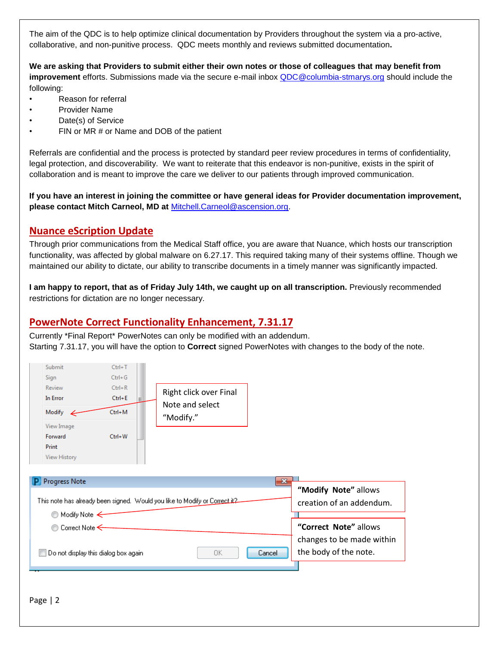The aim of the QDC is to help optimize clinical documentation by Providers throughout the system via a pro-active, collaborative, and non-punitive process. QDC meets monthly and reviews submitted documentation**.**

**We are asking that Providers to submit either their own notes or those of colleagues that may benefit from improvement** efforts. Submissions made via the secure e-mail inbox [QDC@columbia-stmarys.org](mailto:QDC@columbia-stmarys.org) should include the following:

- Reason for referral
- Provider Name
- Date(s) of Service
- FIN or MR # or Name and DOB of the patient

Referrals are confidential and the process is protected by standard peer review procedures in terms of confidentiality, legal protection, and discoverability. We want to reiterate that this endeavor is non-punitive, exists in the spirit of collaboration and is meant to improve the care we deliver to our patients through improved communication.

**If you have an interest in joining the committee or have general ideas for Provider documentation improvement, please contact Mitch Carneol, MD at** [Mitchell.Carneol@ascension.org.](mailto:Mitchell.Carneol@ascension.org)

### **Nuance eScription Update**

Through prior communications from the Medical Staff office, you are aware that Nuance, which hosts our transcription functionality, was affected by global malware on 6.27.17. This required taking many of their systems offline. Though we maintained our ability to dictate, our ability to transcribe documents in a timely manner was significantly impacted.

**I am happy to report, that as of Friday July 14th, we caught up on all transcription.** Previously recommended restrictions for dictation are no longer necessary.

### **PowerNote Correct Functionality Enhancement, 7.31.17**

Currently \*Final Report\* PowerNotes can only be modified with an addendum. Starting 7.31.17, you will have the option to **Correct** signed PowerNotes with changes to the body of the note.

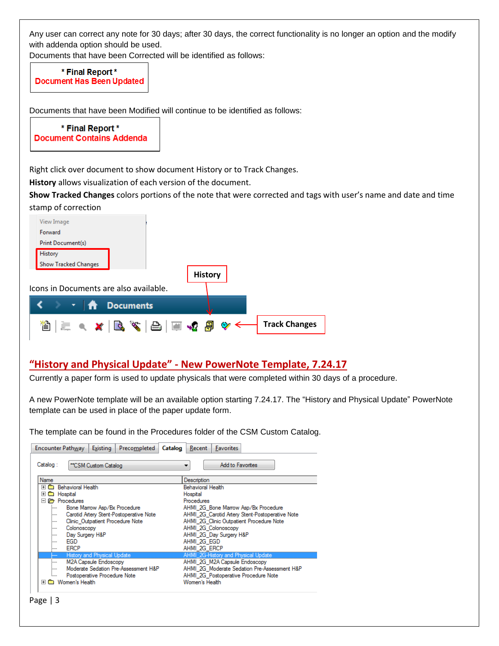Any user can correct any note for 30 days; after 30 days, the correct functionality is no longer an option and the modify with addenda option should be used.

Documents that have been Corrected will be identified as follows:

\* Final Report \* **Document Has Been Updated** 

Documents that have been Modified will continue to be identified as follows:

\* Final Report \* **Document Contains Addenda** 

Right click over document to show document History or to Track Changes.

**History** allows visualization of each version of the document.

**Show Tracked Changes** colors portions of the note that were corrected and tags with user's name and date and time stamp of correction

| View Image                                         |
|----------------------------------------------------|
| Forward                                            |
| Print Document(s)                                  |
| History                                            |
| <b>Show Tracked Changes</b>                        |
| <b>History</b>                                     |
| Icons in Documents are also available.             |
| <b>Documents</b><br>$\mathbf{r}$ $\mathbf{r}$      |
| e x B (8   8   5 4 5<br><b>Track Changes</b><br>Y9 |

### **"History and Physical Update" - New PowerNote Template, 7.24.17**

Currently a paper form is used to update physicals that were completed within 30 days of a procedure.

A new PowerNote template will be an available option starting 7.24.17. The "History and Physical Update" PowerNote template can be used in place of the paper update form.

The template can be found in the Procedures folder of the CSM Custom Catalog.

| <b>Encounter Pathway</b><br>Existing<br>Precompleted | Recent<br><b>Favorites</b><br>Catalog           |
|------------------------------------------------------|-------------------------------------------------|
| Catalog:<br>"CSM Custom Catalog                      | Add to Favorites<br>▼                           |
| <b>Name</b>                                          | Description                                     |
| 田 <sup>6</sup> Behavioral Health                     | <b>Behavioral Health</b>                        |
| <b>Espital</b><br>匣                                  | Hospital                                        |
| <b>Procedures</b><br>Е                               | <b>Procedures</b>                               |
| Bone Marrow Asp/Bx Procedure<br>:                    | AHMI 2G Bone Marrow Asp/Bx Procedure            |
| Carotid Artery Stent-Postoperative Note<br>:         | AHMI 2G Carotid Artery Stent-Postoperative Note |
| Clinic Outpatient Procedure Note<br>:                | AHMI 2G Clinic Outpatient Procedure Note        |
| Colonoscopy<br>:                                     | AHMI 2G Colonoscopy                             |
| Day Surgery H&P<br>:                                 | AHMI 2G Day Surgery H&P                         |
| <b>EGD</b><br>:                                      | AHMI 2G EGD                                     |
| <b>ERCP</b><br>:                                     | AHMI 2G ERCP                                    |
| History and Physical Update                          | AHMI_2G-History and Physical Update             |
| <b>M2A Capsule Endoscopy</b><br>.                    | AHMI 2G M2A Capsule Endoscopy                   |
| Moderate Sedation Pre-Assessment H&P<br>             | AHMI 2G Moderate Sedation Pre-Assessment H&P    |
| Postoperative Procedure Note<br><b>:</b>             | AHMI 2G Postoperative Procedure Note            |
| Women's Health<br>圧<br><b>CONTRACTOR</b>             | Women's Health                                  |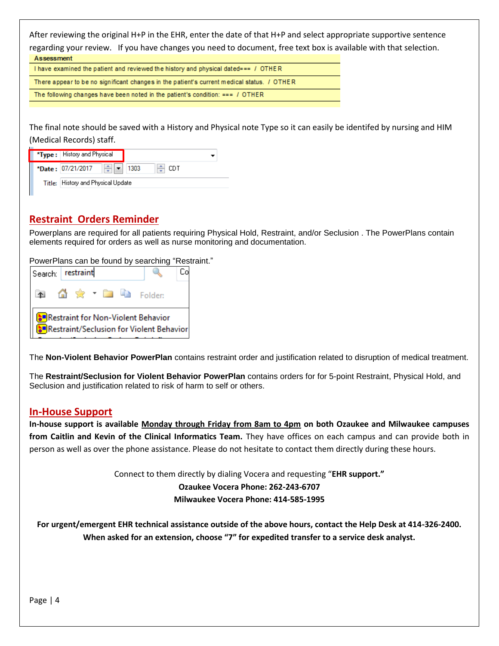After reviewing the original H+P in the EHR, enter the date of that H+P and select appropriate supportive sentence regarding your review. If you have changes you need to document, free text box is available with that selection. Assessment

I have examined the patient and reviewed the history and physical dated=== / OTHER There appear to be no significant changes in the patient's current medical status. / OTHER The following changes have been noted in the patient's condition: ===  $/$  OTHER

The final note should be saved with a History and Physical note Type so it can easily be identifed by nursing and HIM (Medical Records) staff.

| <b>*Type :</b> History and Physical                    |  |        |  |  |  |  |
|--------------------------------------------------------|--|--------|--|--|--|--|
| $\left \frac{1}{2}\right $ = 1303<br>*Date: 07/21/2017 |  | ≜⊢ CDT |  |  |  |  |
| Title: History and Physical Update                     |  |        |  |  |  |  |

### **Restraint Orders Reminder**

Powerplans are required for all patients requiring Physical Hold, Restraint, and/or Seclusion . The PowerPlans contain elements required for orders as well as nurse monitoring and documentation.

PowerPlans can be found by searching "Restraint."

| Search: restraint                                                              |  |  |  |  | ìо. |                    |  |
|--------------------------------------------------------------------------------|--|--|--|--|-----|--------------------|--|
|                                                                                |  |  |  |  |     | ▲ 偷索 * ■ ● Folder: |  |
| Restraint for Non-Violent Behavior<br>Restraint/Seclusion for Violent Behavior |  |  |  |  |     |                    |  |

The **Non-Violent Behavior PowerPlan** contains restraint order and justification related to disruption of medical treatment.

The **Restraint/Seclusion for Violent Behavior PowerPlan** contains orders for for 5-point Restraint, Physical Hold, and Seclusion and justification related to risk of harm to self or others.

### **In-House Support**

**In-house support is available Monday through Friday from 8am to 4pm on both Ozaukee and Milwaukee campuses from Caitlin and Kevin of the Clinical Informatics Team.** They have offices on each campus and can provide both in person as well as over the phone assistance. Please do not hesitate to contact them directly during these hours.

> Connect to them directly by dialing Vocera and requesting "**EHR support." Ozaukee Vocera Phone: 262-243-6707 Milwaukee Vocera Phone: 414-585-1995**

**For urgent/emergent EHR technical assistance outside of the above hours, contact the Help Desk at 414-326-2400. When asked for an extension, choose "7" for expedited transfer to a service desk analyst.**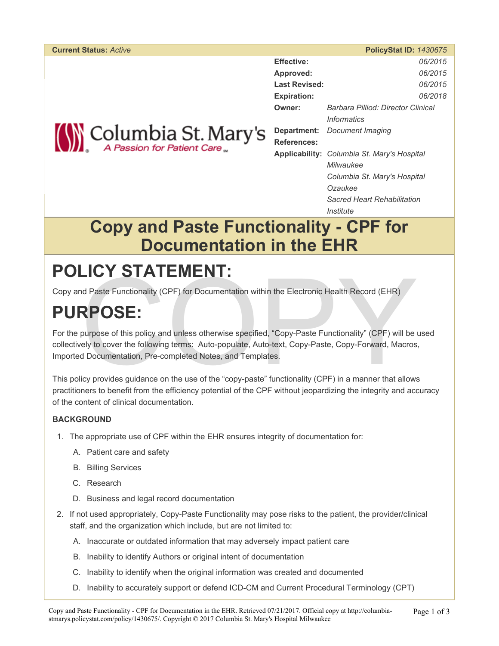#### **Current Status:** *Active* **PolicyStat ID:** *1430675*

**Effective:** *06/2015* **Approved:** *06/2015* **Last Revised:** *06/2015*

**Expiration:** *06/2018*

**Owner:** *Barbara Pilliod: Director Clinical*

*Informatics*

**Department:** *Document Imaging*



**References:**

**Applicability:** *Columbia St. Mary's Hospital Milwaukee*

*Columbia St. Mary's Hospital Ozaukee*

*Sacred Heart Rehabilitation Institute*

## **Copy and Paste Functionality - CPF for Documentation in the EHR**

# **POLICY STATEMENT:**

Copy and Paste Functionality (CPF) for Documentation within the Electronic Health Record (EHR)

# **PURPOSE:**

LICY SIAIEMENI:<br>
Ind Paste Functionality (CPF) for Documentation within the Electronic Health Record (EHR)<br>
RPOSE:<br>
purpose of this policy and unless otherwise specified, "Copy-Paste Functionality" (CPF) will be<br>
rely to c For the purpose of this policy and unless otherwise specified, "Copy-Paste Functionality" (CPF) will be used collectively to cover the following terms: Auto-populate, Auto-text, Copy-Paste, Copy-Forward, Macros, Imported Documentation, Pre-completed Notes, and Templates.

This policy provides guidance on the use of the "copy-paste" functionality (CPF) in a manner that allows practitioners to benefit from the efficiency potential of the CPF without jeopardizing the integrity and accuracy of the content of clinical documentation.

### **BACKGROUND**

- 1. The appropriate use of CPF within the EHR ensures integrity of documentation for:
	- A. Patient care and safety
	- B. Billing Services
	- C. Research
	- D. Business and legal record documentation
- 2. If not used appropriately, Copy-Paste Functionality may pose risks to the patient, the provider/clinical staff, and the organization which include, but are not limited to:
	- A. Inaccurate or outdated information that may adversely impact patient care
	- B. Inability to identify Authors or original intent of documentation
	- C. Inability to identify when the original information was created and documented
	- D. Inability to accurately support or defend ICD-CM and Current Procedural Terminology (CPT)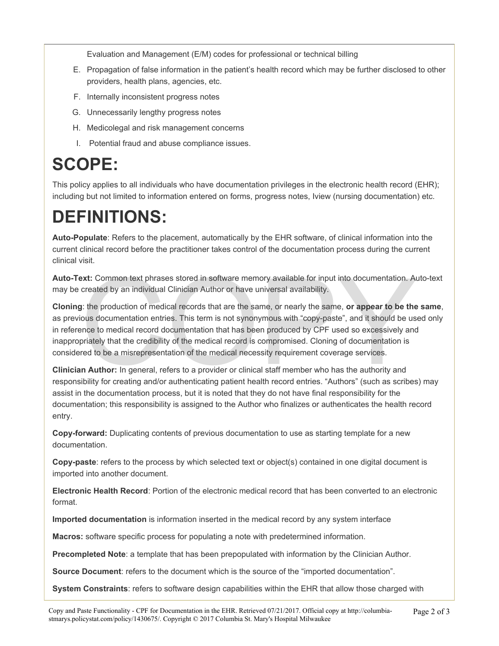Evaluation and Management (E/M) codes for professional or technical billing

- E. Propagation of false information in the patient's health record which may be further disclosed to other providers, health plans, agencies, etc.
- F. Internally inconsistent progress notes
- G. Unnecessarily lengthy progress notes
- H. Medicolegal and risk management concerns
- I. Potential fraud and abuse compliance issues.

# **SCOPE:**

This policy applies to all individuals who have documentation privileges in the electronic health record (EHR); including but not limited to information entered on forms, progress notes, Iview (nursing documentation) etc.

# **DEFINITIONS:**

**Auto-Populate**: Refers to the placement, automatically by the EHR software, of clinical information into the current clinical record before the practitioner takes control of the documentation process during the current clinical visit.

**Auto-Text:** Common text phrases stored in software memory available for input into documentation. Auto-text may be created by an individual Clinician Author or have universal availability.

**Ext:** Common text phrases stored in software memory available for input into documentation. At created by an individual Clinician Author or have universal availability.<br>
I: the production of medical records that are the s **Cloning**: the production of medical records that are the same, or nearly the same, **or appear to be the same**, as previous documentation entries. This term is not synonymous with "copy-paste", and it should be used only in reference to medical record documentation that has been produced by CPF used so excessively and inappropriately that the credibility of the medical record is compromised. Cloning of documentation is considered to be a misrepresentation of the medical necessity requirement coverage services.

**Clinician Author:** In general, refers to a provider or clinical staff member who has the authority and responsibility for creating and/or authenticating patient health record entries. "Authors" (such as scribes) may assist in the documentation process, but it is noted that they do not have final responsibility for the documentation; this responsibility is assigned to the Author who finalizes or authenticates the health record entry.

**Copy-forward:** Duplicating contents of previous documentation to use as starting template for a new documentation.

**Copy-paste**: refers to the process by which selected text or object(s) contained in one digital document is imported into another document.

**Electronic Health Record**: Portion of the electronic medical record that has been converted to an electronic format.

**Imported documentation** is information inserted in the medical record by any system interface

**Macros:** software specific process for populating a note with predetermined information.

**Precompleted Note**: a template that has been prepopulated with information by the Clinician Author.

**Source Document:** refers to the document which is the source of the "imported documentation".

**System Constraints**: refers to software design capabilities within the EHR that allow those charged with